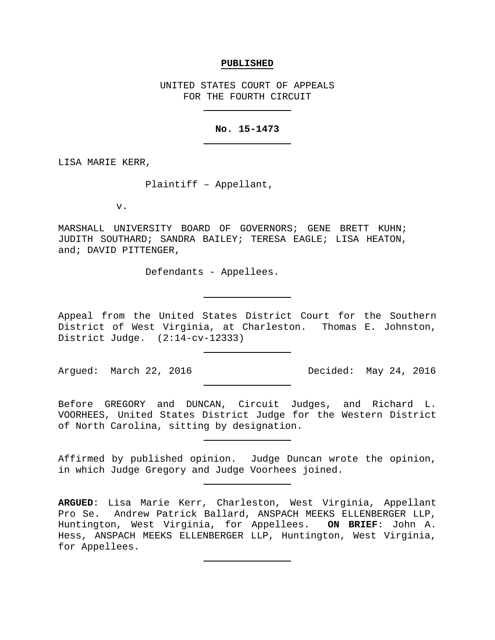#### **PUBLISHED**

UNITED STATES COURT OF APPEALS FOR THE FOURTH CIRCUIT

# **No. 15-1473**

LISA MARIE KERR,

Plaintiff – Appellant,

v.

MARSHALL UNIVERSITY BOARD OF GOVERNORS; GENE BRETT KUHN; JUDITH SOUTHARD; SANDRA BAILEY; TERESA EAGLE; LISA HEATON, and; DAVID PITTENGER,

Defendants - Appellees.

Appeal from the United States District Court for the Southern District of West Virginia, at Charleston. Thomas E. Johnston, District Judge. (2:14-cv-12333)

Argued: March 22, 2016 Decided: May 24, 2016

Before GREGORY and DUNCAN, Circuit Judges, and Richard L. VOORHEES, United States District Judge for the Western District of North Carolina, sitting by designation.

Affirmed by published opinion. Judge Duncan wrote the opinion, in which Judge Gregory and Judge Voorhees joined.

**ARGUED**: Lisa Marie Kerr, Charleston, West Virginia, Appellant Pro Se. Andrew Patrick Ballard, ANSPACH MEEKS ELLENBERGER LLP, Huntington, West Virginia, for Appellees. **ON BRIEF**: John A. Hess, ANSPACH MEEKS ELLENBERGER LLP, Huntington, West Virginia, for Appellees.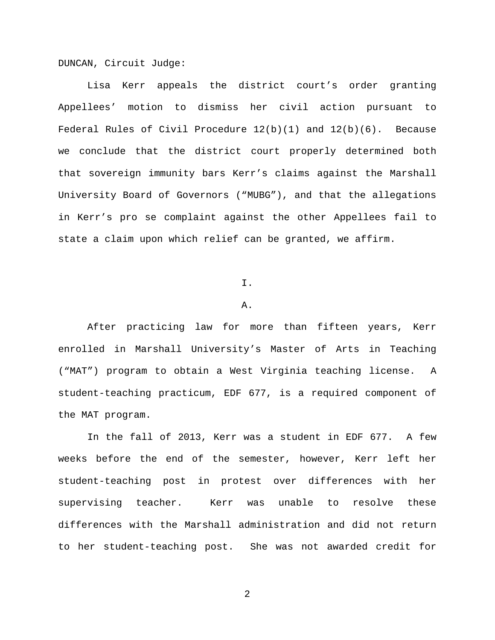DUNCAN, Circuit Judge:

Lisa Kerr appeals the district court's order granting Appellees' motion to dismiss her civil action pursuant to Federal Rules of Civil Procedure  $12(b)(1)$  and  $12(b)(6)$ . Because we conclude that the district court properly determined both that sovereign immunity bars Kerr's claims against the Marshall University Board of Governors ("MUBG"), and that the allegations in Kerr's pro se complaint against the other Appellees fail to state a claim upon which relief can be granted, we affirm.

I.

### A.

After practicing law for more than fifteen years, Kerr enrolled in Marshall University's Master of Arts in Teaching ("MAT") program to obtain a West Virginia teaching license. A student-teaching practicum, EDF 677, is a required component of the MAT program.

In the fall of 2013, Kerr was a student in EDF 677. A few weeks before the end of the semester, however, Kerr left her student-teaching post in protest over differences with her supervising teacher. Kerr was unable to resolve these differences with the Marshall administration and did not return to her student-teaching post. She was not awarded credit for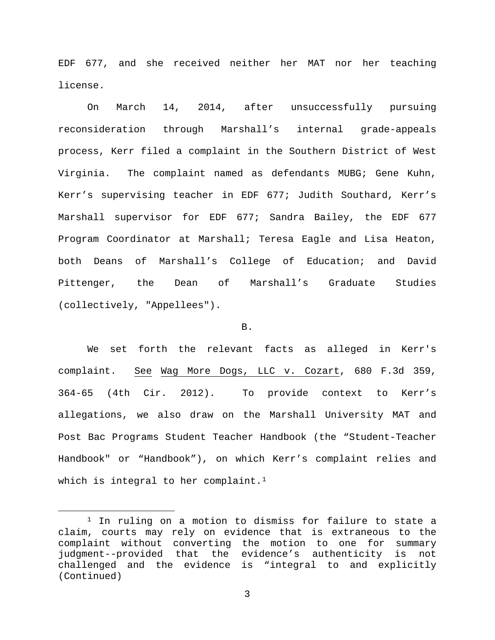EDF 677, and she received neither her MAT nor her teaching license.

On March 14, 2014, after unsuccessfully pursuing reconsideration through Marshall's internal grade-appeals process, Kerr filed a complaint in the Southern District of West Virginia. The complaint named as defendants MUBG; Gene Kuhn, Kerr's supervising teacher in EDF 677; Judith Southard, Kerr's Marshall supervisor for EDF 677; Sandra Bailey, the EDF 677 Program Coordinator at Marshall; Teresa Eagle and Lisa Heaton, both Deans of Marshall's College of Education; and David Pittenger, the Dean of Marshall's Graduate Studies (collectively, "Appellees").

### B.

We set forth the relevant facts as alleged in Kerr's complaint. See Wag More Dogs, LLC v. Cozart, 680 F.3d 359, 364-65 (4th Cir. 2012). To provide context to Kerr's allegations, we also draw on the Marshall University MAT and Post Bac Programs Student Teacher Handbook (the "Student-Teacher Handbook" or "Handbook"), on which Kerr's complaint relies and which is integral to her complaint.<sup>1</sup>

<span id="page-2-0"></span> <sup>1</sup> In ruling on a motion to dismiss for failure to state a claim, courts may rely on evidence that is extraneous to the complaint without converting the motion to one for summary<br>judgment--provided that the evidence's authenticity is not the evidence's authenticity is not challenged and the evidence is "integral to and explicitly (Continued)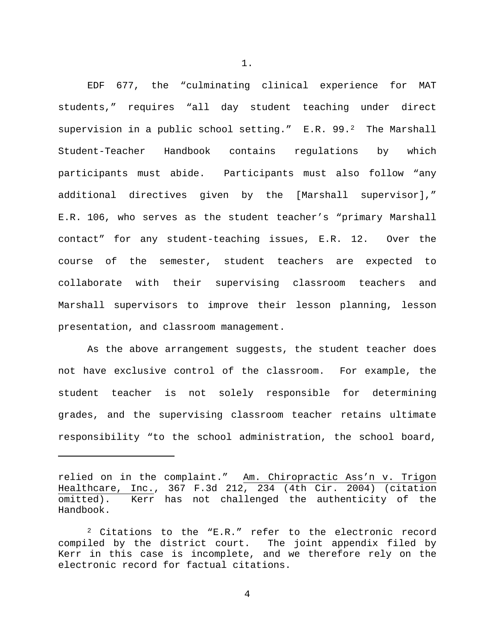EDF 677, the "culminating clinical experience for MAT students," requires "all day student teaching under direct supervision in a public school setting." E.R. 99.[2](#page-3-0) The Marshall Student-Teacher Handbook contains regulations by which participants must abide. Participants must also follow "any additional directives given by the [Marshall supervisor]," E.R. 106, who serves as the student teacher's "primary Marshall contact" for any student-teaching issues, E.R. 12. Over the course of the semester, student teachers are expected to collaborate with their supervising classroom teachers and Marshall supervisors to improve their lesson planning, lesson presentation, and classroom management.

As the above arrangement suggests, the student teacher does not have exclusive control of the classroom. For example, the student teacher is not solely responsible for determining grades, and the supervising classroom teacher retains ultimate responsibility "to the school administration, the school board,

Ĩ.

1.

relied on in the complaint." Am. Chiropractic Ass'n v. Trigon Healthcare, Inc., 367 F.3d 212, 234 (4th Cir. 2004) (citation omitted). Kerr has not challenged the authenticity of the Handbook.

<span id="page-3-0"></span><sup>2</sup> Citations to the "E.R." refer to the electronic record compiled by the district court. The joint appendix filed by Kerr in this case is incomplete, and we therefore rely on the electronic record for factual citations.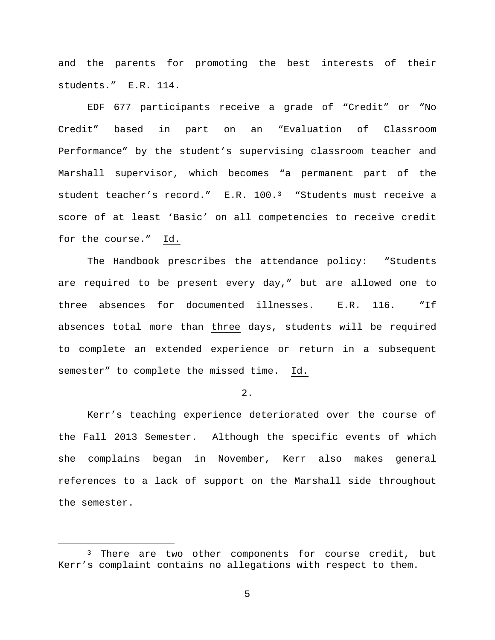and the parents for promoting the best interests of their students." E.R. 114.

EDF 677 participants receive a grade of "Credit" or "No Credit" based in part on an "Evaluation of Classroom Performance" by the student's supervising classroom teacher and Marshall supervisor, which becomes "a permanent part of the student teacher's record." E.R. 100.[3](#page-4-0) "Students must receive a score of at least 'Basic' on all competencies to receive credit for the course." Id.

The Handbook prescribes the attendance policy: "Students are required to be present every day," but are allowed one to three absences for documented illnesses. E.R. 116. "If absences total more than three days, students will be required to complete an extended experience or return in a subsequent semester" to complete the missed time. Id.

2.

Kerr's teaching experience deteriorated over the course of the Fall 2013 Semester. Although the specific events of which she complains began in November, Kerr also makes general references to a lack of support on the Marshall side throughout the semester.

<span id="page-4-0"></span><sup>&</sup>lt;sup>3</sup> There are two other components for course credit, but Kerr's complaint contains no allegations with respect to them.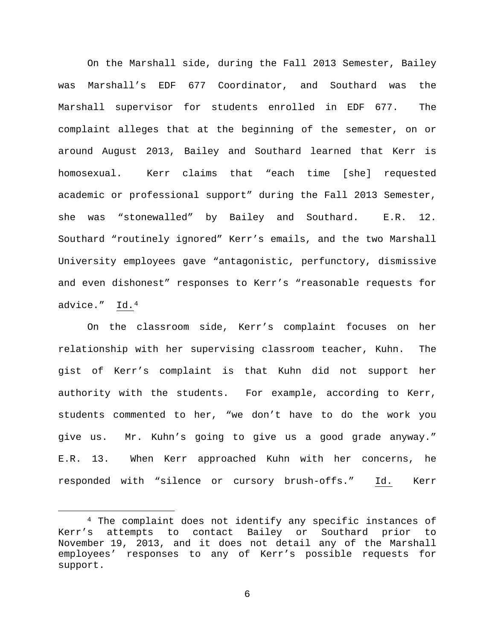On the Marshall side, during the Fall 2013 Semester, Bailey was Marshall's EDF 677 Coordinator, and Southard was the Marshall supervisor for students enrolled in EDF 677. The complaint alleges that at the beginning of the semester, on or around August 2013, Bailey and Southard learned that Kerr is homosexual. Kerr claims that "each time [she] requested academic or professional support" during the Fall 2013 Semester, she was "stonewalled" by Bailey and Southard. E.R. 12. Southard "routinely ignored" Kerr's emails, and the two Marshall University employees gave "antagonistic, perfunctory, dismissive and even dishonest" responses to Kerr's "reasonable requests for advice." Id.[4](#page-5-0)

On the classroom side, Kerr's complaint focuses on her relationship with her supervising classroom teacher, Kuhn. The gist of Kerr's complaint is that Kuhn did not support her authority with the students. For example, according to Kerr, students commented to her, "we don't have to do the work you give us. Mr. Kuhn's going to give us a good grade anyway." E.R. 13. When Kerr approached Kuhn with her concerns, he responded with "silence or cursory brush-offs." Id. Kerr

<span id="page-5-0"></span> <sup>4</sup> The complaint does not identify any specific instances of Kerr's attempts to contact Bailey or Southard prior to November 19, 2013, and it does not detail any of the Marshall employees' responses to any of Kerr's possible requests for support.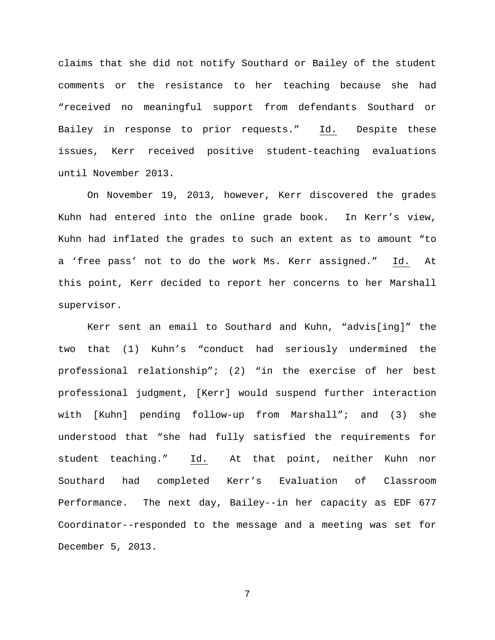claims that she did not notify Southard or Bailey of the student comments or the resistance to her teaching because she had "received no meaningful support from defendants Southard or Bailey in response to prior requests." Id. Despite these issues, Kerr received positive student-teaching evaluations until November 2013.

On November 19, 2013, however, Kerr discovered the grades Kuhn had entered into the online grade book. In Kerr's view, Kuhn had inflated the grades to such an extent as to amount "to a 'free pass' not to do the work Ms. Kerr assigned." Id. At this point, Kerr decided to report her concerns to her Marshall supervisor.

Kerr sent an email to Southard and Kuhn, "advis[ing]" the two that (1) Kuhn's "conduct had seriously undermined the professional relationship"; (2) "in the exercise of her best professional judgment, [Kerr] would suspend further interaction with [Kuhn] pending follow-up from Marshall"; and (3) she understood that "she had fully satisfied the requirements for student teaching." Id. At that point, neither Kuhn nor Southard had completed Kerr's Evaluation of Classroom Performance. The next day, Bailey--in her capacity as EDF 677 Coordinator--responded to the message and a meeting was set for December 5, 2013.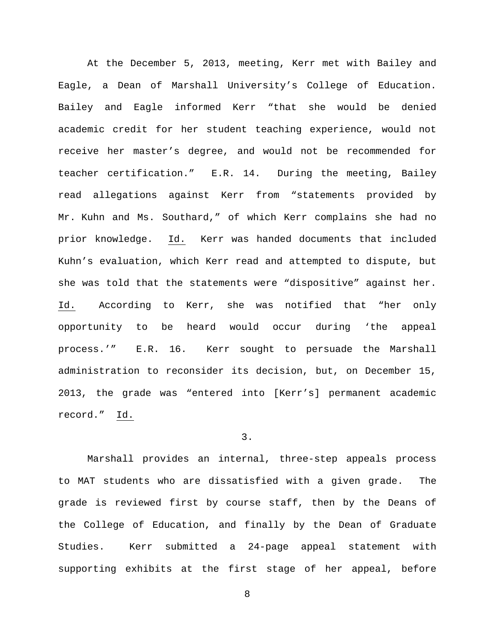At the December 5, 2013, meeting, Kerr met with Bailey and Eagle, a Dean of Marshall University's College of Education. Bailey and Eagle informed Kerr "that she would be denied academic credit for her student teaching experience, would not receive her master's degree, and would not be recommended for teacher certification." E.R. 14. During the meeting, Bailey read allegations against Kerr from "statements provided by Mr. Kuhn and Ms. Southard," of which Kerr complains she had no prior knowledge. Id. Kerr was handed documents that included Kuhn's evaluation, which Kerr read and attempted to dispute, but she was told that the statements were "dispositive" against her. Id. According to Kerr, she was notified that "her only opportunity to be heard would occur during 'the appeal process.'" E.R. 16. Kerr sought to persuade the Marshall administration to reconsider its decision, but, on December 15, 2013, the grade was "entered into [Kerr's] permanent academic record." Id.

## 3.

Marshall provides an internal, three-step appeals process to MAT students who are dissatisfied with a given grade. The grade is reviewed first by course staff, then by the Deans of the College of Education, and finally by the Dean of Graduate Studies. Kerr submitted a 24-page appeal statement with supporting exhibits at the first stage of her appeal, before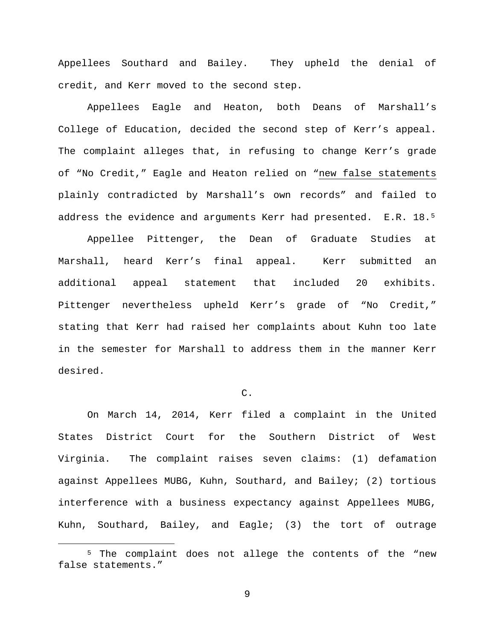Appellees Southard and Bailey. They upheld the denial of credit, and Kerr moved to the second step.

Appellees Eagle and Heaton, both Deans of Marshall's College of Education, decided the second step of Kerr's appeal. The complaint alleges that, in refusing to change Kerr's grade of "No Credit," Eagle and Heaton relied on "new false statements plainly contradicted by Marshall's own records" and failed to address the evidence and arguments Kerr had presented. E.R. 18.[5](#page-8-0)

Appellee Pittenger, the Dean of Graduate Studies at Marshall, heard Kerr's final appeal. Kerr submitted an additional appeal statement that included 20 exhibits. Pittenger nevertheless upheld Kerr's grade of "No Credit," stating that Kerr had raised her complaints about Kuhn too late in the semester for Marshall to address them in the manner Kerr desired.

# C.

On March 14, 2014, Kerr filed a complaint in the United States District Court for the Southern District of West Virginia. The complaint raises seven claims: (1) defamation against Appellees MUBG, Kuhn, Southard, and Bailey; (2) tortious interference with a business expectancy against Appellees MUBG, Kuhn, Southard, Bailey, and Eagle; (3) the tort of outrage

<span id="page-8-0"></span><sup>&</sup>lt;sup>5</sup> The complaint does not allege the contents of the "new false statements."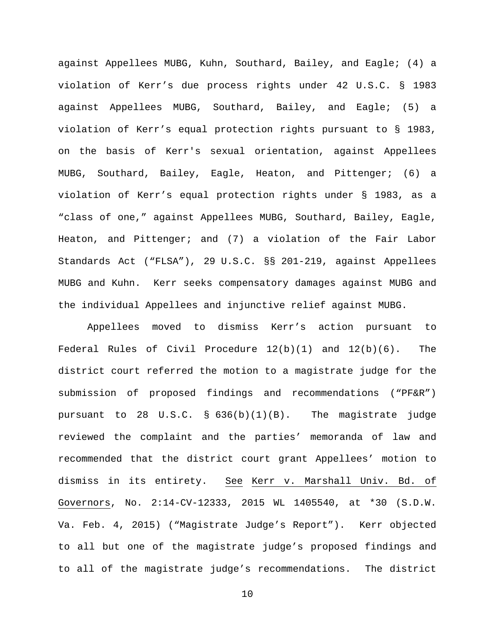against Appellees MUBG, Kuhn, Southard, Bailey, and Eagle; (4) a violation of Kerr's due process rights under 42 U.S.C. § 1983 against Appellees MUBG, Southard, Bailey, and Eagle; (5) a violation of Kerr's equal protection rights pursuant to § 1983, on the basis of Kerr's sexual orientation, against Appellees MUBG, Southard, Bailey, Eagle, Heaton, and Pittenger; (6) a violation of Kerr's equal protection rights under § 1983, as a "class of one," against Appellees MUBG, Southard, Bailey, Eagle, Heaton, and Pittenger; and (7) a violation of the Fair Labor Standards Act ("FLSA"), 29 U.S.C. §§ 201-219, against Appellees MUBG and Kuhn. Kerr seeks compensatory damages against MUBG and the individual Appellees and injunctive relief against MUBG.

Appellees moved to dismiss Kerr's action pursuant to Federal Rules of Civil Procedure  $12(b)(1)$  and  $12(b)(6)$ . The district court referred the motion to a magistrate judge for the submission of proposed findings and recommendations ("PF&R") pursuant to 28 U.S.C. § 636(b)(1)(B). The magistrate judge reviewed the complaint and the parties' memoranda of law and recommended that the district court grant Appellees' motion to dismiss in its entirety. See Kerr v. Marshall Univ. Bd. of Governors, No. 2:14-CV-12333, 2015 WL 1405540, at \*30 (S.D.W. Va. Feb. 4, 2015) ("Magistrate Judge's Report"). Kerr objected to all but one of the magistrate judge's proposed findings and to all of the magistrate judge's recommendations. The district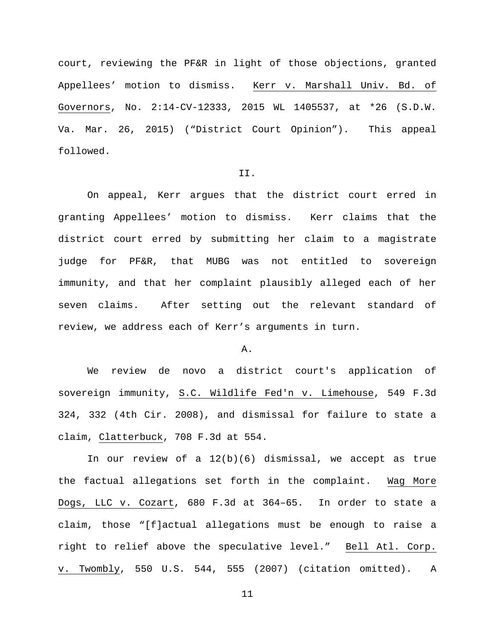court, reviewing the PF&R in light of those objections, granted Appellees' motion to dismiss. Kerr v. Marshall Univ. Bd. of Governors, No. 2:14-CV-12333, 2015 WL 1405537, at \*26 (S.D.W. Va. Mar. 26, 2015) ("District Court Opinion"). This appeal followed.

## II.

On appeal, Kerr argues that the district court erred in granting Appellees' motion to dismiss. Kerr claims that the district court erred by submitting her claim to a magistrate judge for PF&R, that MUBG was not entitled to sovereign immunity, and that her complaint plausibly alleged each of her seven claims. After setting out the relevant standard of review, we address each of Kerr's arguments in turn.

### A.

We review de novo a district court's application of sovereign immunity, S.C. Wildlife Fed'n v. Limehouse, 549 F.3d 324, 332 (4th Cir. 2008), and dismissal for failure to state a claim, Clatterbuck, 708 F.3d at 554.

In our review of a  $12(b)(6)$  dismissal, we accept as true the factual allegations set forth in the complaint. Wag More Dogs, LLC v. Cozart, 680 F.3d at 364–65. In order to state a claim, those "[f]actual allegations must be enough to raise a right to relief above the speculative level." Bell Atl. Corp. v. Twombly, 550 U.S. 544, 555 (2007) (citation omitted). A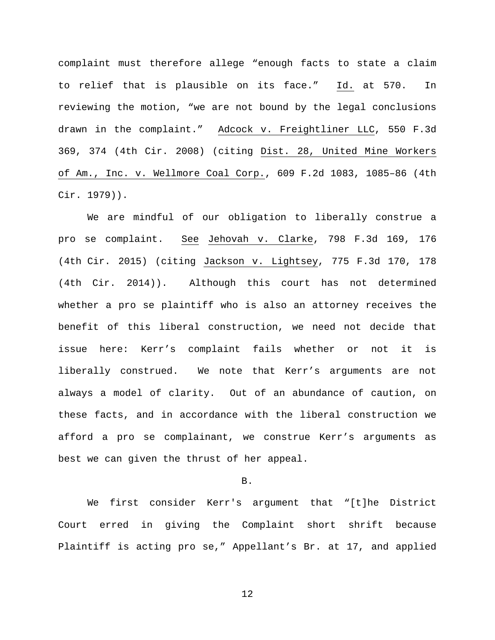complaint must therefore allege "enough facts to state a claim to relief that is plausible on its face." Id. at 570. In reviewing the motion, "we are not bound by the legal conclusions drawn in the complaint." Adcock v. Freightliner LLC, 550 F.3d 369, 374 (4th Cir. 2008) (citing Dist. 28, United Mine Workers of Am., Inc. v. Wellmore Coal Corp., 609 F.2d 1083, 1085–86 (4th Cir. 1979)).

We are mindful of our obligation to liberally construe a pro se complaint. See Jehovah v. Clarke, 798 F.3d 169, 176 (4th Cir. 2015) (citing Jackson v. Lightsey, 775 F.3d 170, 178 (4th Cir. 2014)). Although this court has not determined whether a pro se plaintiff who is also an attorney receives the benefit of this liberal construction, we need not decide that issue here: Kerr's complaint fails whether or not it is liberally construed. We note that Kerr's arguments are not always a model of clarity. Out of an abundance of caution, on these facts, and in accordance with the liberal construction we afford a pro se complainant, we construe Kerr's arguments as best we can given the thrust of her appeal.

B.

We first consider Kerr's argument that "[t]he District Court erred in giving the Complaint short shrift because Plaintiff is acting pro se," Appellant's Br. at 17, and applied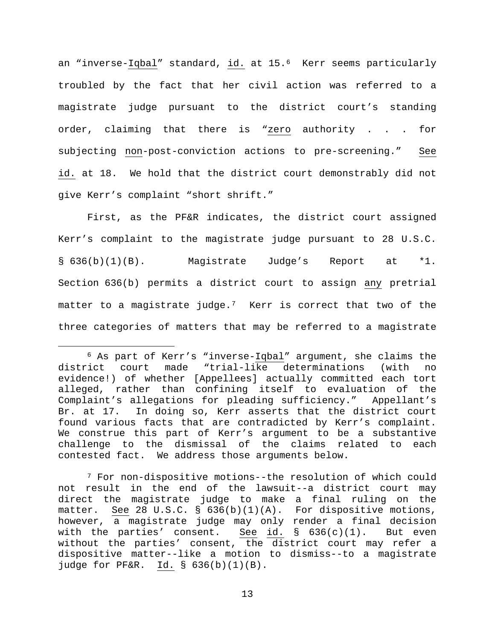an "inverse-Iqbal" standard, id. at 15.<sup>[6](#page-12-0)</sup> Kerr seems particularly troubled by the fact that her civil action was referred to a magistrate judge pursuant to the district court's standing order, claiming that there is "zero authority . . . for subjecting non-post-conviction actions to pre-screening." See id. at 18. We hold that the district court demonstrably did not give Kerr's complaint "short shrift."

First, as the PF&R indicates, the district court assigned Kerr's complaint to the magistrate judge pursuant to 28 U.S.C. § 636(b)(1)(B). Magistrate Judge's Report at \*1. Section 636(b) permits a district court to assign any pretrial matter to a magistrate judge.[7](#page-12-1) Kerr is correct that two of the three categories of matters that may be referred to a magistrate

<span id="page-12-0"></span> <sup>6</sup> As part of Kerr's "inverse-Iqbal" argument, she claims the district court made "trial-like determinations (with no evidence!) of whether [Appellees] actually committed each tort alleged, rather than confining itself to evaluation of the Complaint's allegations for pleading sufficiency." Appellant's Br. at 17. In doing so, Kerr asserts that the district court found various facts that are contradicted by Kerr's complaint. We construe this part of Kerr's argument to be a substantive challenge to the dismissal of the claims related to each contested fact. We address those arguments below.

<span id="page-12-1"></span><sup>7</sup> For non-dispositive motions--the resolution of which could not result in the end of the lawsuit--a district court may direct the magistrate judge to make a final ruling on the matter. See 28 U.S.C. §  $636(b)(1)(A)$ . For dispositive motions, however, a magistrate judge may only render a final decision<br>with the parties' consent. See id. § 636(c)(1). But even with the parties' consent. without the parties' consent, the district court may refer a dispositive matter--like a motion to dismiss--to a magistrate judge for PF&R. Id. § 636(b)(1)(B).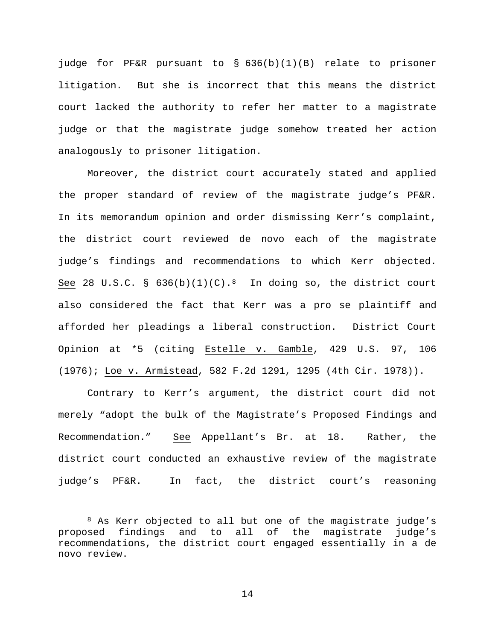judge for PF&R pursuant to § 636(b)(1)(B) relate to prisoner litigation. But she is incorrect that this means the district court lacked the authority to refer her matter to a magistrate judge or that the magistrate judge somehow treated her action analogously to prisoner litigation.

Moreover, the district court accurately stated and applied the proper standard of review of the magistrate judge's PF&R. In its memorandum opinion and order dismissing Kerr's complaint, the district court reviewed de novo each of the magistrate judge's findings and recommendations to which Kerr objected. See 2[8](#page-13-0) U.S.C. §  $636(b)(1)(C).$ <sup>8</sup> In doing so, the district court also considered the fact that Kerr was a pro se plaintiff and afforded her pleadings a liberal construction. District Court Opinion at \*5 (citing Estelle v. Gamble, 429 U.S. 97, 106 (1976); Loe v. Armistead, 582 F.2d 1291, 1295 (4th Cir. 1978)).

Contrary to Kerr's argument, the district court did not merely "adopt the bulk of the Magistrate's Proposed Findings and Recommendation." See Appellant's Br. at 18. Rather, the district court conducted an exhaustive review of the magistrate judge's PF&R. In fact, the district court's reasoning

<span id="page-13-0"></span><sup>&</sup>lt;sup>8</sup> As Kerr objected to all but one of the magistrate judge's<br>sed findings and to all of the magistrate judge's proposed findings and to all of the magistrate recommendations, the district court engaged essentially in a de novo review.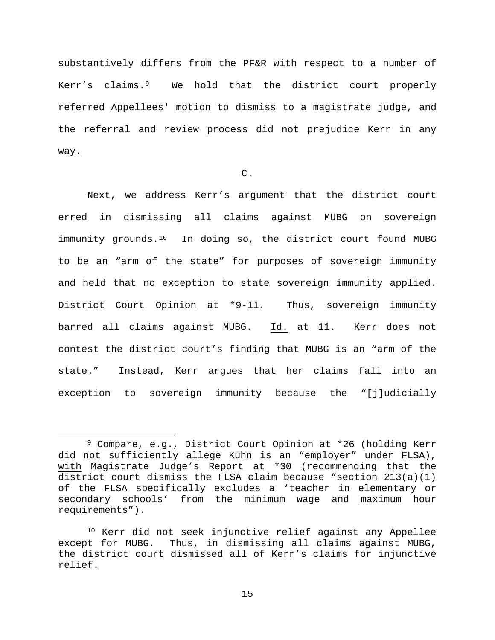substantively differs from the PF&R with respect to a number of Kerr's claims.[9](#page-14-0) We hold that the district court properly referred Appellees' motion to dismiss to a magistrate judge, and the referral and review process did not prejudice Kerr in any way.

# C.

Next, we address Kerr's argument that the district court erred in dismissing all claims against MUBG on sovereign immunity grounds.<sup>[10](#page-14-1)</sup> In doing so, the district court found MUBG to be an "arm of the state" for purposes of sovereign immunity and held that no exception to state sovereign immunity applied. District Court Opinion at \*9-11. Thus, sovereign immunity barred all claims against MUBG. Id. at 11. Kerr does not contest the district court's finding that MUBG is an "arm of the state." Instead, Kerr argues that her claims fall into an exception to sovereign immunity because the "[j]udicially

<span id="page-14-0"></span> <sup>9</sup> Compare, e.g., District Court Opinion at \*26 (holding Kerr did not sufficiently allege Kuhn is an "employer" under FLSA), with Magistrate Judge's Report at \*30 (recommending that the district court dismiss the FLSA claim because "section 213(a)(1) of the FLSA specifically excludes a 'teacher in elementary or secondary schools' from the minimum wage and maximum hour requirements").

<span id="page-14-1"></span><sup>10</sup> Kerr did not seek injunctive relief against any Appellee except for MUBG. Thus, in dismissing all claims against MUBG, the district court dismissed all of Kerr's claims for injunctive relief.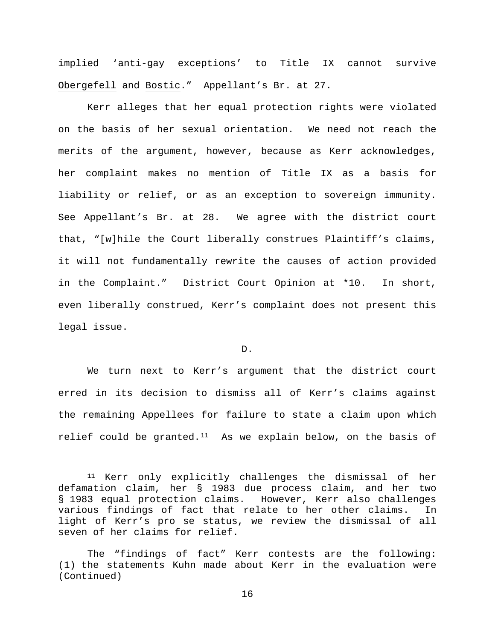implied 'anti-gay exceptions' to Title IX cannot survive Obergefell and Bostic." Appellant's Br. at 27.

Kerr alleges that her equal protection rights were violated on the basis of her sexual orientation. We need not reach the merits of the argument, however, because as Kerr acknowledges, her complaint makes no mention of Title IX as a basis for liability or relief, or as an exception to sovereign immunity. See Appellant's Br. at 28. We agree with the district court that, "[w]hile the Court liberally construes Plaintiff's claims, it will not fundamentally rewrite the causes of action provided in the Complaint." District Court Opinion at \*10. In short, even liberally construed, Kerr's complaint does not present this legal issue.

## D.

We turn next to Kerr's argument that the district court erred in its decision to dismiss all of Kerr's claims against the remaining Appellees for failure to state a claim upon which relief could be granted. $11$  As we explain below, on the basis of

<span id="page-15-0"></span> <sup>11</sup> Kerr only explicitly challenges the dismissal of her defamation claim, her § 1983 due process claim, and her two § 1983 equal protection claims. However, Kerr also challenges various findings of fact that relate to her other claims. In light of Kerr's pro se status, we review the dismissal of all seven of her claims for relief.

The "findings of fact" Kerr contests are the following: (1) the statements Kuhn made about Kerr in the evaluation were (Continued)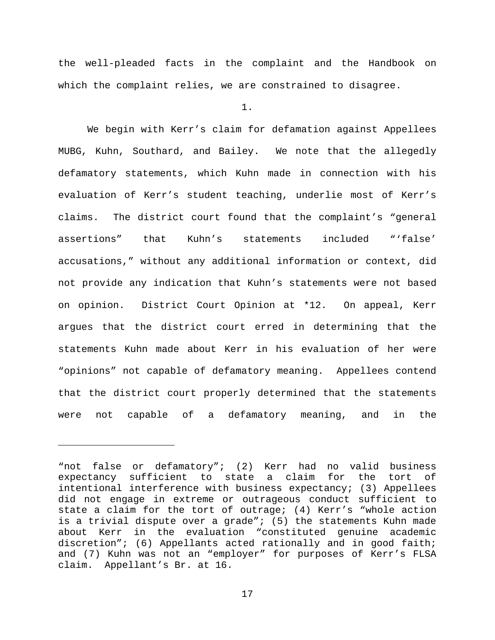the well-pleaded facts in the complaint and the Handbook on which the complaint relies, we are constrained to disagree.

1.

We begin with Kerr's claim for defamation against Appellees MUBG, Kuhn, Southard, and Bailey. We note that the allegedly defamatory statements, which Kuhn made in connection with his evaluation of Kerr's student teaching, underlie most of Kerr's claims. The district court found that the complaint's "general assertions" that Kuhn's statements included "'false' accusations," without any additional information or context, did not provide any indication that Kuhn's statements were not based on opinion. District Court Opinion at \*12. On appeal, Kerr argues that the district court erred in determining that the statements Kuhn made about Kerr in his evaluation of her were "opinions" not capable of defamatory meaning. Appellees contend that the district court properly determined that the statements were not capable of a defamatory meaning, and in the

ī

<sup>&</sup>quot;not false or defamatory"; (2) Kerr had no valid business expectancy sufficient to state a claim for the tort of intentional interference with business expectancy; (3) Appellees did not engage in extreme or outrageous conduct sufficient to state a claim for the tort of outrage; (4) Kerr's "whole action is a trivial dispute over a grade"; (5) the statements Kuhn made about Kerr in the evaluation "constituted genuine academic discretion"; (6) Appellants acted rationally and in good faith; and (7) Kuhn was not an "employer" for purposes of Kerr's FLSA claim. Appellant's Br. at 16.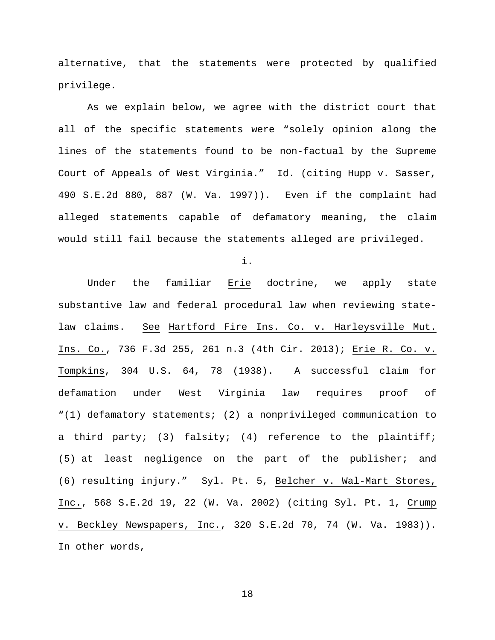alternative, that the statements were protected by qualified privilege.

As we explain below, we agree with the district court that all of the specific statements were "solely opinion along the lines of the statements found to be non-factual by the Supreme Court of Appeals of West Virginia." Id. (citing Hupp v. Sasser, 490 S.E.2d 880, 887 (W. Va. 1997)). Even if the complaint had alleged statements capable of defamatory meaning, the claim would still fail because the statements alleged are privileged.

i.

Under the familiar Erie doctrine, we apply state substantive law and federal procedural law when reviewing statelaw claims. See Hartford Fire Ins. Co. v. Harleysville Mut. Ins. Co., 736 F.3d 255, 261 n.3 (4th Cir. 2013); Erie R. Co. v. Tompkins, 304 U.S. 64, 78 (1938). A successful claim for defamation under West Virginia law requires proof of "(1) defamatory statements; (2) a nonprivileged communication to a third party; (3) falsity; (4) reference to the plaintiff; (5) at least negligence on the part of the publisher; and (6) resulting injury." Syl. Pt. 5, Belcher v. Wal-Mart Stores, Inc., 568 S.E.2d 19, 22 (W. Va. 2002) (citing Syl. Pt. 1, Crump v. Beckley Newspapers, Inc., 320 S.E.2d 70, 74 (W. Va. 1983)). In other words,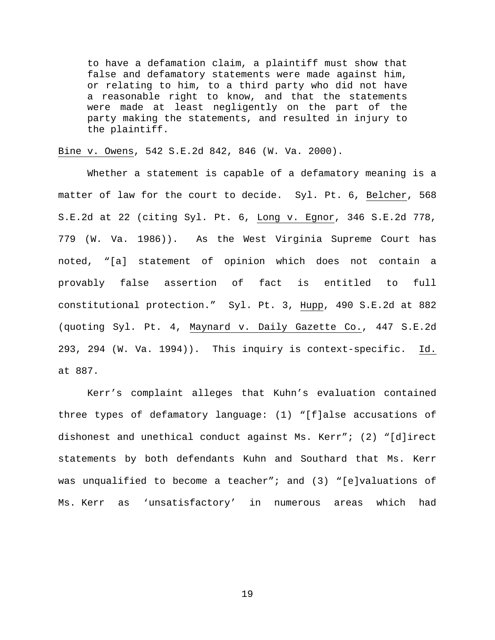to have a defamation claim, a plaintiff must show that false and defamatory statements were made against him, or relating to him, to a third party who did not have a reasonable right to know, and that the statements were made at least negligently on the part of the party making the statements, and resulted in injury to the plaintiff.

Bine v. Owens, 542 S.E.2d 842, 846 (W. Va. 2000).

Whether a statement is capable of a defamatory meaning is a matter of law for the court to decide. Syl. Pt. 6, Belcher, 568 S.E.2d at 22 (citing Syl. Pt. 6, Long v. Egnor, 346 S.E.2d 778, 779 (W. Va. 1986)). As the West Virginia Supreme Court has noted, "[a] statement of opinion which does not contain a provably false assertion of fact is entitled to full constitutional protection." Syl. Pt. 3, Hupp, 490 S.E.2d at 882 (quoting Syl. Pt. 4, Maynard v. Daily Gazette Co., 447 S.E.2d 293, 294 (W. Va. 1994)). This inquiry is context-specific. Id. at 887.

Kerr's complaint alleges that Kuhn's evaluation contained three types of defamatory language: (1) "[f]alse accusations of dishonest and unethical conduct against Ms. Kerr"; (2) "[d]irect statements by both defendants Kuhn and Southard that Ms. Kerr was unqualified to become a teacher"; and (3) "[e]valuations of Ms. Kerr as 'unsatisfactory' in numerous areas which had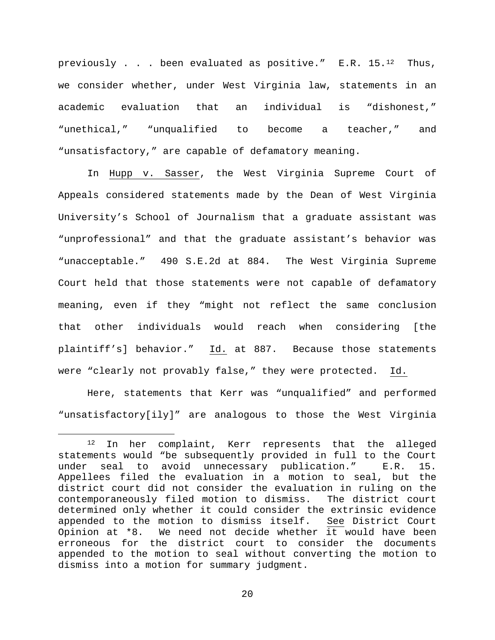previously . . . been evaluated as positive."  $E.R. 15.^{12}$  Thus, we consider whether, under West Virginia law, statements in an academic evaluation that an individual is "dishonest," "unethical," "unqualified to become a teacher," and "unsatisfactory," are capable of defamatory meaning.

In Hupp v. Sasser, the West Virginia Supreme Court of Appeals considered statements made by the Dean of West Virginia University's School of Journalism that a graduate assistant was "unprofessional" and that the graduate assistant's behavior was "unacceptable." 490 S.E.2d at 884. The West Virginia Supreme Court held that those statements were not capable of defamatory meaning, even if they "might not reflect the same conclusion that other individuals would reach when considering [the plaintiff's] behavior." Id. at 887. Because those statements were "clearly not provably false," they were protected. Id.

Here, statements that Kerr was "unqualified" and performed "unsatisfactory[ily]" are analogous to those the West Virginia

<span id="page-19-0"></span> <sup>12</sup> In her complaint, Kerr represents that the alleged statements would "be subsequently provided in full to the Court<br>under seal to avoid unnecessary publication." E.R. 15. under seal to avoid unnecessary publication." Appellees filed the evaluation in a motion to seal, but the district court did not consider the evaluation in ruling on the contemporaneously filed motion to dismiss. The district court determined only whether it could consider the extrinsic evidence<br>appended to the motion to dismiss itself. See District Court appended to the motion to dismiss itself. Opinion at \*8. We need not decide whether it would have been erroneous for the district court to consider the documents appended to the motion to seal without converting the motion to dismiss into a motion for summary judgment.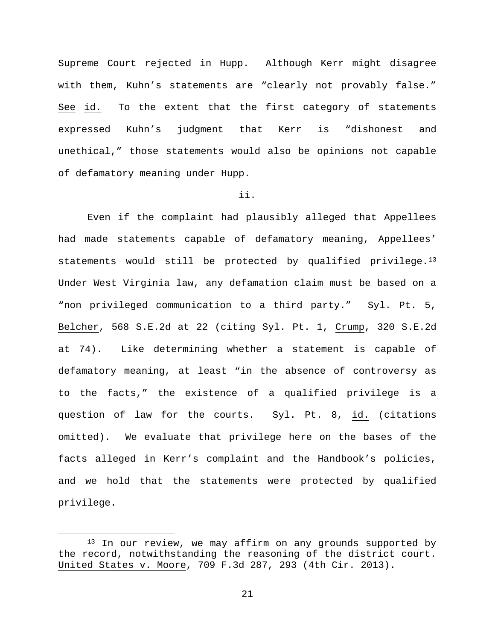Supreme Court rejected in Hupp. Although Kerr might disagree with them, Kuhn's statements are "clearly not provably false." See id. To the extent that the first category of statements expressed Kuhn's judgment that Kerr is "dishonest and unethical," those statements would also be opinions not capable of defamatory meaning under Hupp.

# ii.

Even if the complaint had plausibly alleged that Appellees had made statements capable of defamatory meaning, Appellees' statements would still be protected by qualified privilege.<sup>[13](#page-20-0)</sup> Under West Virginia law, any defamation claim must be based on a "non privileged communication to a third party." Syl. Pt. 5, Belcher, 568 S.E.2d at 22 (citing Syl. Pt. 1, Crump, 320 S.E.2d at 74). Like determining whether a statement is capable of defamatory meaning, at least "in the absence of controversy as to the facts," the existence of a qualified privilege is a question of law for the courts. Syl. Pt. 8, id. (citations omitted). We evaluate that privilege here on the bases of the facts alleged in Kerr's complaint and the Handbook's policies, and we hold that the statements were protected by qualified privilege.

<span id="page-20-0"></span><sup>&</sup>lt;sup>13</sup> In our review, we may affirm on any grounds supported by the record, notwithstanding the reasoning of the district court. United States v. Moore, 709 F.3d 287, 293 (4th Cir. 2013).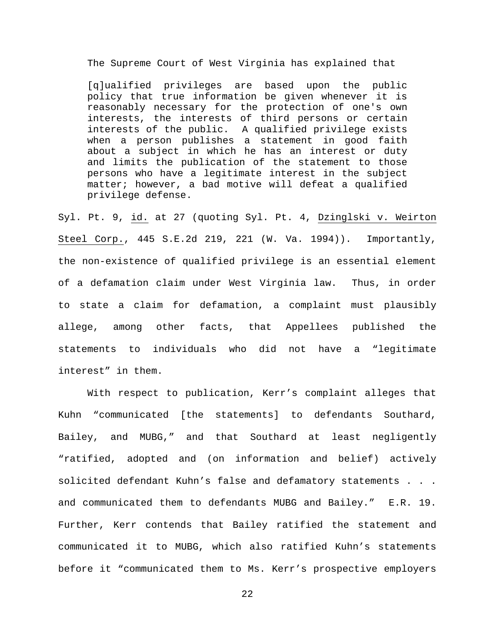The Supreme Court of West Virginia has explained that

[q]ualified privileges are based upon the public policy that true information be given whenever it is reasonably necessary for the protection of one's own interests, the interests of third persons or certain interests of the public. A qualified privilege exists when a person publishes a statement in good faith about a subject in which he has an interest or duty and limits the publication of the statement to those persons who have a legitimate interest in the subject matter; however, a bad motive will defeat a qualified privilege defense.

Syl. Pt. 9, id. at 27 (quoting Syl. Pt. 4, Dzinglski v. Weirton Steel Corp., 445 S.E.2d 219, 221 (W. Va. 1994)). Importantly, the non-existence of qualified privilege is an essential element of a defamation claim under West Virginia law. Thus, in order to state a claim for defamation, a complaint must plausibly allege, among other facts, that Appellees published the statements to individuals who did not have a "legitimate interest" in them.

With respect to publication, Kerr's complaint alleges that Kuhn "communicated [the statements] to defendants Southard, Bailey, and MUBG," and that Southard at least negligently "ratified, adopted and (on information and belief) actively solicited defendant Kuhn's false and defamatory statements . . . and communicated them to defendants MUBG and Bailey." E.R. 19. Further, Kerr contends that Bailey ratified the statement and communicated it to MUBG, which also ratified Kuhn's statements before it "communicated them to Ms. Kerr's prospective employers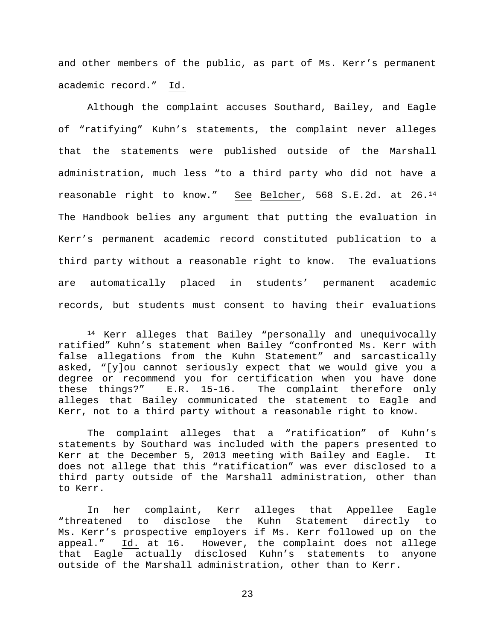and other members of the public, as part of Ms. Kerr's permanent academic record." Id.

Although the complaint accuses Southard, Bailey, and Eagle of "ratifying" Kuhn's statements, the complaint never alleges that the statements were published outside of the Marshall administration, much less "to a third party who did not have a reasonable right to know." See Belcher, 568 S.E.2d. at 26[.14](#page-22-0) The Handbook belies any argument that putting the evaluation in Kerr's permanent academic record constituted publication to a third party without a reasonable right to know. The evaluations are automatically placed in students' permanent academic records, but students must consent to having their evaluations

<span id="page-22-0"></span> <sup>14</sup> Kerr alleges that Bailey "personally and unequivocally ratified" Kuhn's statement when Bailey "confronted Ms. Kerr with false allegations from the Kuhn Statement" and sarcastically asked, "[y]ou cannot seriously expect that we would give you a degree or recommend you for certification when you have done these things?" E.R. 15-16. The complaint therefore only alleges that Bailey communicated the statement to Eagle and Kerr, not to a third party without a reasonable right to know.

The complaint alleges that a "ratification" of Kuhn's statements by Southard was included with the papers presented to Kerr at the December 5, 2013 meeting with Bailey and Eagle. It does not allege that this "ratification" was ever disclosed to a third party outside of the Marshall administration, other than to Kerr.

In her complaint, Kerr alleges that Appellee Eagle "threatened to disclose the Kuhn Statement Ms. Kerr's prospective employers if Ms. Kerr followed up on the appeal." Id. at 16. However, the complaint does not allege that Eagle actually disclosed Kuhn's statements to anyone outside of the Marshall administration, other than to Kerr.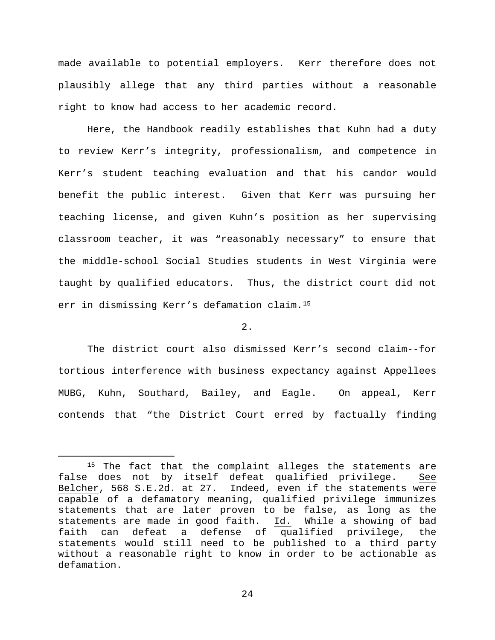made available to potential employers. Kerr therefore does not plausibly allege that any third parties without a reasonable right to know had access to her academic record.

Here, the Handbook readily establishes that Kuhn had a duty to review Kerr's integrity, professionalism, and competence in Kerr's student teaching evaluation and that his candor would benefit the public interest. Given that Kerr was pursuing her teaching license, and given Kuhn's position as her supervising classroom teacher, it was "reasonably necessary" to ensure that the middle-school Social Studies students in West Virginia were taught by qualified educators. Thus, the district court did not err in dismissing Kerr's defamation claim.[15](#page-23-0)

## $2.$

The district court also dismissed Kerr's second claim--for tortious interference with business expectancy against Appellees MUBG, Kuhn, Southard, Bailey, and Eagle. On appeal, Kerr contends that "the District Court erred by factually finding

<span id="page-23-0"></span><sup>&</sup>lt;sup>15</sup> The fact that the complaint alleges the statements are false does not by itself defeat qualified privilege. See Belcher, 568 S.E.2d. at 27. Indeed, even if the statements were capable of a defamatory meaning, qualified privilege immunizes statements that are later proven to be false, as long as the<br>statements are made in good faith. Id. While a showing of bad statements are made in good faith.<br>faith can defeat a defense of defeat a defense of qualified privilege, the statements would still need to be published to a third party without a reasonable right to know in order to be actionable as defamation.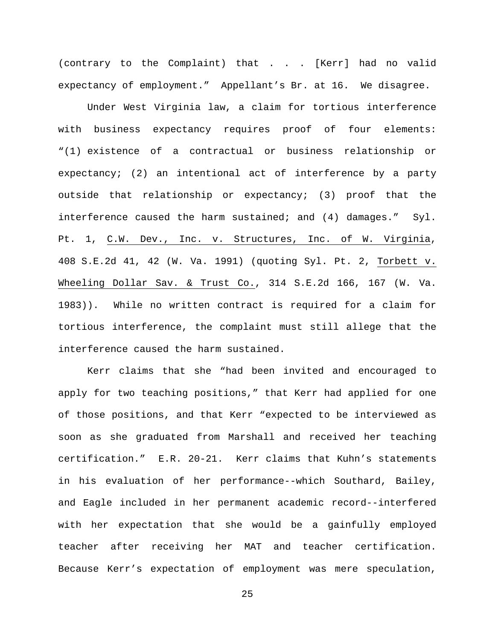(contrary to the Complaint) that . . . [Kerr] had no valid expectancy of employment." Appellant's Br. at 16. We disagree.

Under West Virginia law, a claim for tortious interference with business expectancy requires proof of four elements: "(1) existence of a contractual or business relationship or expectancy; (2) an intentional act of interference by a party outside that relationship or expectancy; (3) proof that the interference caused the harm sustained; and  $(4)$  damages." Syl. Pt. 1, C.W. Dev., Inc. v. Structures, Inc. of W. Virginia, 408 S.E.2d 41, 42 (W. Va. 1991) (quoting Syl. Pt. 2, Torbett v. Wheeling Dollar Sav. & Trust Co., 314 S.E.2d 166, 167 (W. Va. 1983)). While no written contract is required for a claim for tortious interference, the complaint must still allege that the interference caused the harm sustained.

Kerr claims that she "had been invited and encouraged to apply for two teaching positions," that Kerr had applied for one of those positions, and that Kerr "expected to be interviewed as soon as she graduated from Marshall and received her teaching certification." E.R. 20-21. Kerr claims that Kuhn's statements in his evaluation of her performance--which Southard, Bailey, and Eagle included in her permanent academic record--interfered with her expectation that she would be a gainfully employed teacher after receiving her MAT and teacher certification. Because Kerr's expectation of employment was mere speculation,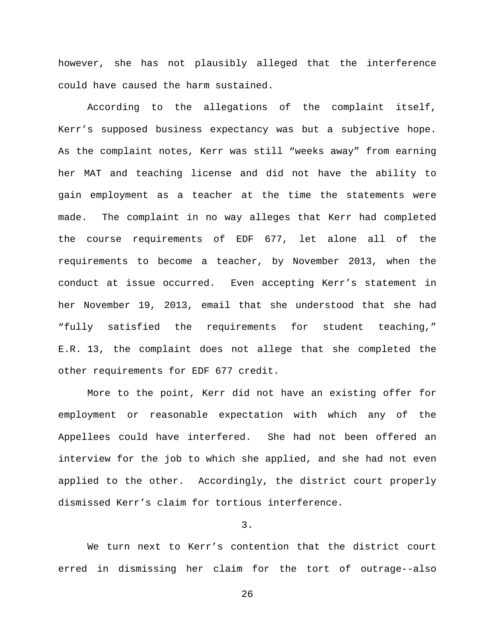however, she has not plausibly alleged that the interference could have caused the harm sustained.

According to the allegations of the complaint itself, Kerr's supposed business expectancy was but a subjective hope. As the complaint notes, Kerr was still "weeks away" from earning her MAT and teaching license and did not have the ability to gain employment as a teacher at the time the statements were made. The complaint in no way alleges that Kerr had completed the course requirements of EDF 677, let alone all of the requirements to become a teacher, by November 2013, when the conduct at issue occurred. Even accepting Kerr's statement in her November 19, 2013, email that she understood that she had "fully satisfied the requirements for student teaching," E.R. 13, the complaint does not allege that she completed the other requirements for EDF 677 credit.

More to the point, Kerr did not have an existing offer for employment or reasonable expectation with which any of the Appellees could have interfered. She had not been offered an interview for the job to which she applied, and she had not even applied to the other. Accordingly, the district court properly dismissed Kerr's claim for tortious interference.

3.

We turn next to Kerr's contention that the district court erred in dismissing her claim for the tort of outrage--also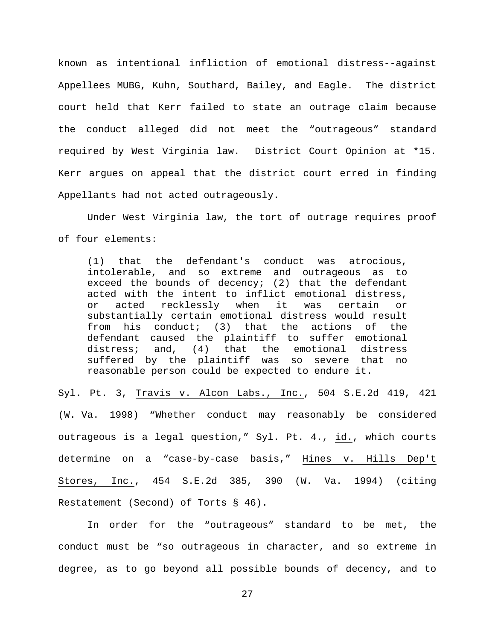known as intentional infliction of emotional distress--against Appellees MUBG, Kuhn, Southard, Bailey, and Eagle. The district court held that Kerr failed to state an outrage claim because the conduct alleged did not meet the "outrageous" standard required by West Virginia law. District Court Opinion at \*15. Kerr argues on appeal that the district court erred in finding Appellants had not acted outrageously.

Under West Virginia law, the tort of outrage requires proof of four elements:

(1) that the defendant's conduct was atrocious, intolerable, and so extreme and outrageous as to exceed the bounds of decency;  $(2)$  that the defendant acted with the intent to inflict emotional distress, or acted recklessly when it was certain or substantially certain emotional distress would result from his conduct; (3) that the actions of the defendant caused the plaintiff to suffer emotional<br>distress; and, (4) that the emotional distress distress; and, (4) that the emotional distress suffered by the plaintiff was so severe that no reasonable person could be expected to endure it.

Syl. Pt. 3, Travis v. Alcon Labs., Inc., 504 S.E.2d 419, 421 (W. Va. 1998) "Whether conduct may reasonably be considered outrageous is a legal question," Syl. Pt. 4., id., which courts determine on a "case-by-case basis," Hines v. Hills Dep't Stores, Inc., 454 S.E.2d 385, 390 (W. Va. 1994) (citing Restatement (Second) of Torts § 46).

In order for the "outrageous" standard to be met, the conduct must be "so outrageous in character, and so extreme in degree, as to go beyond all possible bounds of decency, and to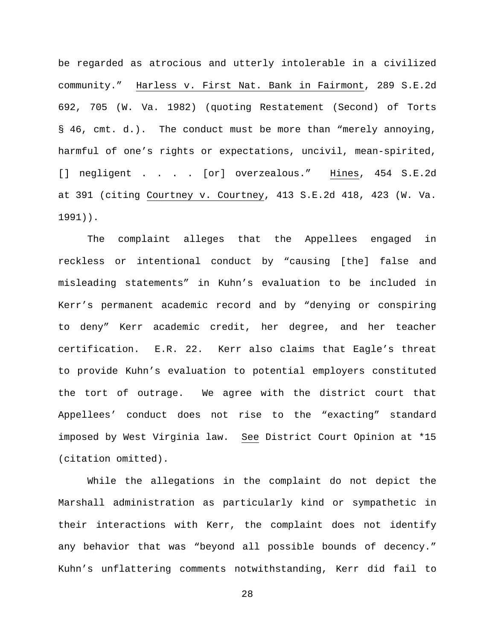be regarded as atrocious and utterly intolerable in a civilized community." Harless v. First Nat. Bank in Fairmont, 289 S.E.2d 692, 705 (W. Va. 1982) (quoting Restatement (Second) of Torts § 46, cmt. d.). The conduct must be more than "merely annoying, harmful of one's rights or expectations, uncivil, mean-spirited, [] negligent . . . . [or] overzealous." Hines, 454 S.E.2d at 391 (citing Courtney v. Courtney, 413 S.E.2d 418, 423 (W. Va. 1991)).

The complaint alleges that the Appellees engaged in reckless or intentional conduct by "causing [the] false and misleading statements" in Kuhn's evaluation to be included in Kerr's permanent academic record and by "denying or conspiring to deny" Kerr academic credit, her degree, and her teacher certification. E.R. 22. Kerr also claims that Eagle's threat to provide Kuhn's evaluation to potential employers constituted the tort of outrage. We agree with the district court that Appellees' conduct does not rise to the "exacting" standard imposed by West Virginia law. See District Court Opinion at \*15 (citation omitted).

While the allegations in the complaint do not depict the Marshall administration as particularly kind or sympathetic in their interactions with Kerr, the complaint does not identify any behavior that was "beyond all possible bounds of decency." Kuhn's unflattering comments notwithstanding, Kerr did fail to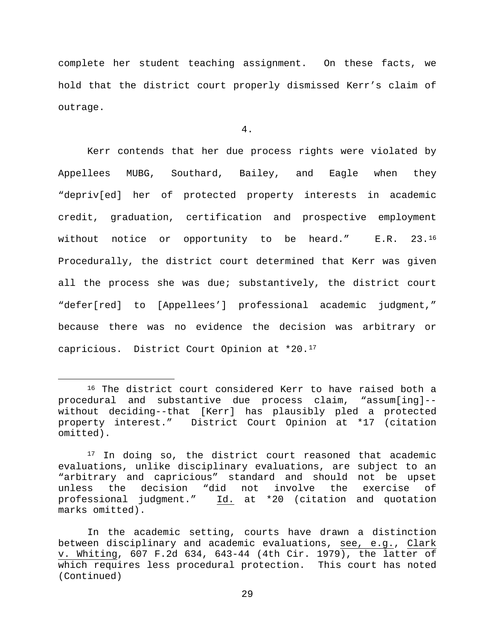complete her student teaching assignment. On these facts, we hold that the district court properly dismissed Kerr's claim of outrage.

### 4.

Kerr contends that her due process rights were violated by Appellees MUBG, Southard, Bailey, and Eagle when they "depriv[ed] her of protected property interests in academic credit, graduation, certification and prospective employment without notice or opportunity to be heard." E.R. 23[.16](#page-28-0) Procedurally, the district court determined that Kerr was given all the process she was due; substantively, the district court "defer[red] to [Appellees'] professional academic judgment," because there was no evidence the decision was arbitrary or capricious. District Court Opinion at \*20.[17](#page-28-1)

<span id="page-28-0"></span><sup>&</sup>lt;sup>16</sup> The district court considered Kerr to have raised both a procedural and substantive due process claim, "assum[ing]- without deciding--that [Kerr] has plausibly pled a protected property interest." District Court Opinion at \*17 (citation omitted).

<span id="page-28-1"></span><sup>&</sup>lt;sup>17</sup> In doing so, the district court reasoned that academic evaluations, unlike disciplinary evaluations, are subject to an "arbitrary and capricious" standard and should not be upset unless the decision "did not involve the exercise of<br>professional judgment." Id. at \*20 (citation and quotation Id. at \*20 (citation and quotation marks omitted).

In the academic setting, courts have drawn a distinction between disciplinary and academic evaluations, see, e.g., Clark v. Whiting, 607 F.2d 634, 643-44 (4th Cir. 1979), the latter of which requires less procedural protection. This court has noted (Continued)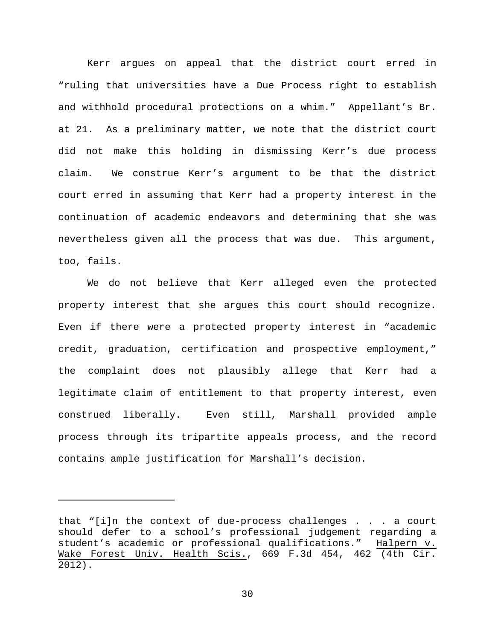Kerr argues on appeal that the district court erred in "ruling that universities have a Due Process right to establish and withhold procedural protections on a whim." Appellant's Br. at 21. As a preliminary matter, we note that the district court did not make this holding in dismissing Kerr's due process claim. We construe Kerr's argument to be that the district court erred in assuming that Kerr had a property interest in the continuation of academic endeavors and determining that she was nevertheless given all the process that was due. This argument, too, fails.

We do not believe that Kerr alleged even the protected property interest that she argues this court should recognize. Even if there were a protected property interest in "academic credit, graduation, certification and prospective employment," the complaint does not plausibly allege that Kerr had a legitimate claim of entitlement to that property interest, even construed liberally. Even still, Marshall provided ample process through its tripartite appeals process, and the record contains ample justification for Marshall's decision.

Ĩ.

that "[i]n the context of due-process challenges . . . a court should defer to a school's professional judgement regarding a student's academic or professional qualifications." Wake Forest Univ. Health Scis., 669 F.3d 454, 462 (4th Cir. 2012).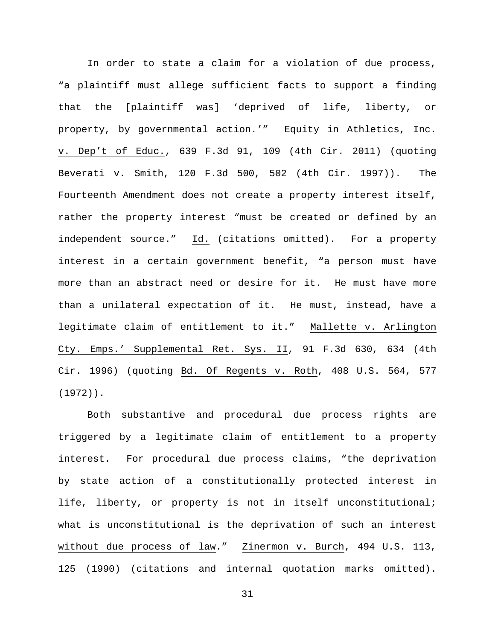In order to state a claim for a violation of due process, "a plaintiff must allege sufficient facts to support a finding that the [plaintiff was] 'deprived of life, liberty, or property, by governmental action.'" Equity in Athletics, Inc. v. Dep't of Educ., 639 F.3d 91, 109 (4th Cir. 2011) (quoting Beverati v. Smith, 120 F.3d 500, 502 (4th Cir. 1997)). The Fourteenth Amendment does not create a property interest itself, rather the property interest "must be created or defined by an independent source." Id. (citations omitted). For a property interest in a certain government benefit, "a person must have more than an abstract need or desire for it. He must have more than a unilateral expectation of it. He must, instead, have a legitimate claim of entitlement to it." Mallette v. Arlington Cty. Emps.' Supplemental Ret. Sys. II, 91 F.3d 630, 634 (4th Cir. 1996) (quoting Bd. Of Regents v. Roth, 408 U.S. 564, 577 (1972)).

Both substantive and procedural due process rights are triggered by a legitimate claim of entitlement to a property interest. For procedural due process claims, "the deprivation by state action of a constitutionally protected interest in life, liberty, or property is not in itself unconstitutional; what is unconstitutional is the deprivation of such an interest without due process of law." Zinermon v. Burch, 494 U.S. 113, 125 (1990) (citations and internal quotation marks omitted).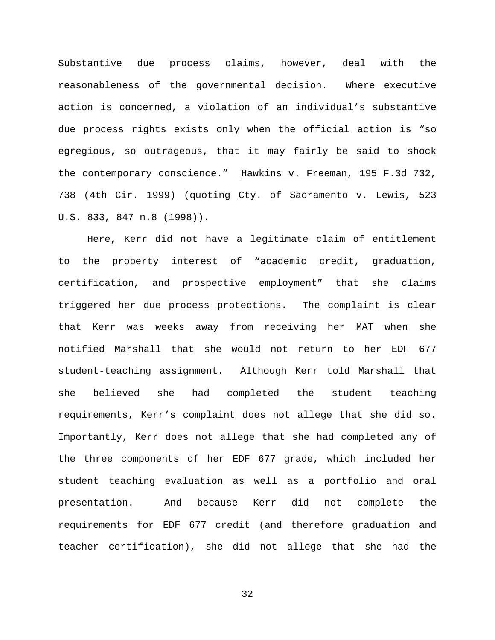Substantive due process claims, however, deal with the reasonableness of the governmental decision. Where executive action is concerned, a violation of an individual's substantive due process rights exists only when the official action is "so egregious, so outrageous, that it may fairly be said to shock the contemporary conscience." Hawkins v. Freeman, 195 F.3d 732, 738 (4th Cir. 1999) (quoting Cty. of Sacramento v. Lewis, 523 U.S. 833, 847 n.8 (1998)).

Here, Kerr did not have a legitimate claim of entitlement to the property interest of "academic credit, graduation, certification, and prospective employment" that she claims triggered her due process protections. The complaint is clear that Kerr was weeks away from receiving her MAT when she notified Marshall that she would not return to her EDF 677 student-teaching assignment. Although Kerr told Marshall that she believed she had completed the student teaching requirements, Kerr's complaint does not allege that she did so. Importantly, Kerr does not allege that she had completed any of the three components of her EDF 677 grade, which included her student teaching evaluation as well as a portfolio and oral presentation. And because Kerr did not complete the requirements for EDF 677 credit (and therefore graduation and teacher certification), she did not allege that she had the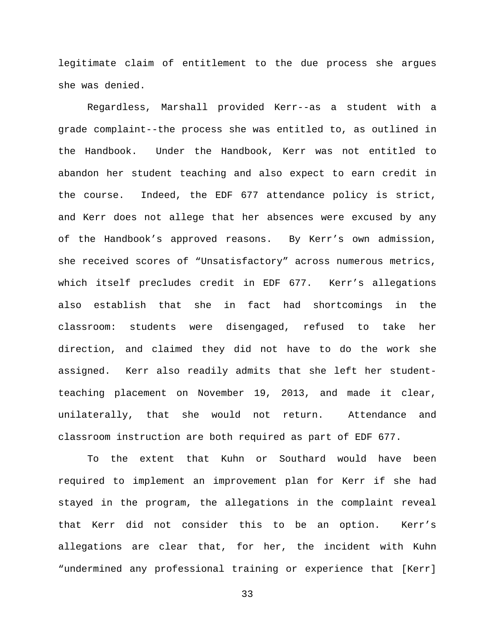legitimate claim of entitlement to the due process she argues she was denied.

Regardless, Marshall provided Kerr--as a student with a grade complaint--the process she was entitled to, as outlined in the Handbook. Under the Handbook, Kerr was not entitled to abandon her student teaching and also expect to earn credit in the course. Indeed, the EDF 677 attendance policy is strict, and Kerr does not allege that her absences were excused by any of the Handbook's approved reasons. By Kerr's own admission, she received scores of "Unsatisfactory" across numerous metrics, which itself precludes credit in EDF 677. Kerr's allegations also establish that she in fact had shortcomings in the classroom: students were disengaged, refused to take her direction, and claimed they did not have to do the work she assigned. Kerr also readily admits that she left her studentteaching placement on November 19, 2013, and made it clear, unilaterally, that she would not return. Attendance and classroom instruction are both required as part of EDF 677.

To the extent that Kuhn or Southard would have been required to implement an improvement plan for Kerr if she had stayed in the program, the allegations in the complaint reveal that Kerr did not consider this to be an option. Kerr's allegations are clear that, for her, the incident with Kuhn "undermined any professional training or experience that [Kerr]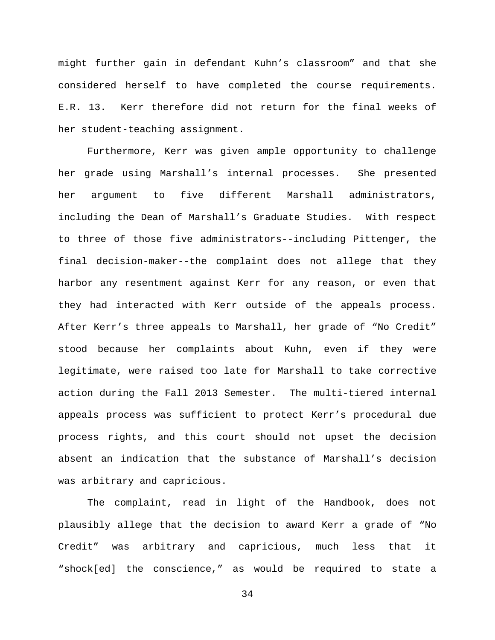might further gain in defendant Kuhn's classroom" and that she considered herself to have completed the course requirements. E.R. 13. Kerr therefore did not return for the final weeks of her student-teaching assignment.

Furthermore, Kerr was given ample opportunity to challenge her grade using Marshall's internal processes. She presented her argument to five different Marshall administrators, including the Dean of Marshall's Graduate Studies. With respect to three of those five administrators--including Pittenger, the final decision-maker--the complaint does not allege that they harbor any resentment against Kerr for any reason, or even that they had interacted with Kerr outside of the appeals process. After Kerr's three appeals to Marshall, her grade of "No Credit" stood because her complaints about Kuhn, even if they were legitimate, were raised too late for Marshall to take corrective action during the Fall 2013 Semester. The multi-tiered internal appeals process was sufficient to protect Kerr's procedural due process rights, and this court should not upset the decision absent an indication that the substance of Marshall's decision was arbitrary and capricious.

The complaint, read in light of the Handbook, does not plausibly allege that the decision to award Kerr a grade of "No Credit" was arbitrary and capricious, much less that it "shock[ed] the conscience," as would be required to state a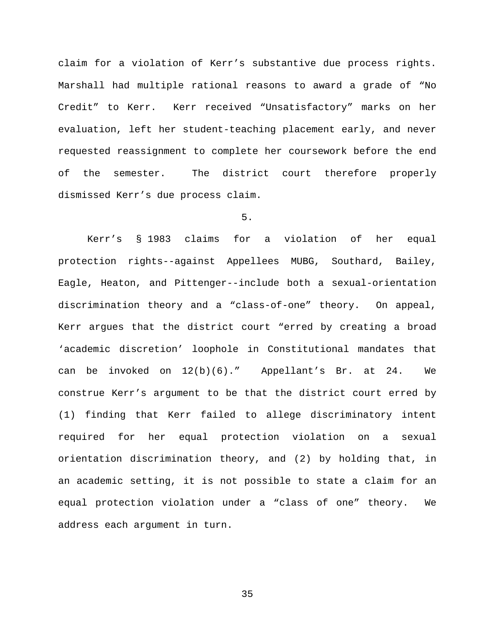claim for a violation of Kerr's substantive due process rights. Marshall had multiple rational reasons to award a grade of "No Credit" to Kerr. Kerr received "Unsatisfactory" marks on her evaluation, left her student-teaching placement early, and never requested reassignment to complete her coursework before the end of the semester. The district court therefore properly dismissed Kerr's due process claim.

# 5.

Kerr's § 1983 claims for a violation of her equal protection rights--against Appellees MUBG, Southard, Bailey, Eagle, Heaton, and Pittenger--include both a sexual-orientation discrimination theory and a "class-of-one" theory. On appeal, Kerr argues that the district court "erred by creating a broad 'academic discretion' loophole in Constitutional mandates that can be invoked on 12(b)(6)." Appellant's Br. at 24. We construe Kerr's argument to be that the district court erred by (1) finding that Kerr failed to allege discriminatory intent required for her equal protection violation on a sexual orientation discrimination theory, and (2) by holding that, in an academic setting, it is not possible to state a claim for an equal protection violation under a "class of one" theory. We address each argument in turn.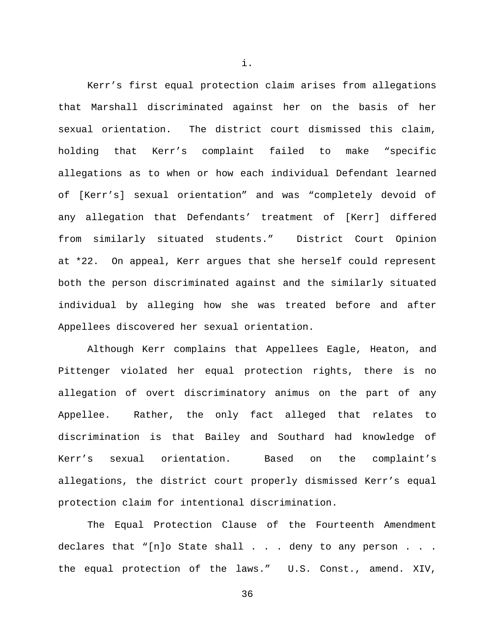Kerr's first equal protection claim arises from allegations that Marshall discriminated against her on the basis of her sexual orientation. The district court dismissed this claim, holding that Kerr's complaint failed to make "specific allegations as to when or how each individual Defendant learned of [Kerr's] sexual orientation" and was "completely devoid of any allegation that Defendants' treatment of [Kerr] differed from similarly situated students." District Court Opinion at \*22. On appeal, Kerr argues that she herself could represent both the person discriminated against and the similarly situated individual by alleging how she was treated before and after Appellees discovered her sexual orientation.

Although Kerr complains that Appellees Eagle, Heaton, and Pittenger violated her equal protection rights, there is no allegation of overt discriminatory animus on the part of any Appellee. Rather, the only fact alleged that relates to discrimination is that Bailey and Southard had knowledge of Kerr's sexual orientation. Based on the complaint's allegations, the district court properly dismissed Kerr's equal protection claim for intentional discrimination.

The Equal Protection Clause of the Fourteenth Amendment declares that "[n]o State shall . . . deny to any person . . . the equal protection of the laws." U.S. Const., amend. XIV,

36

i.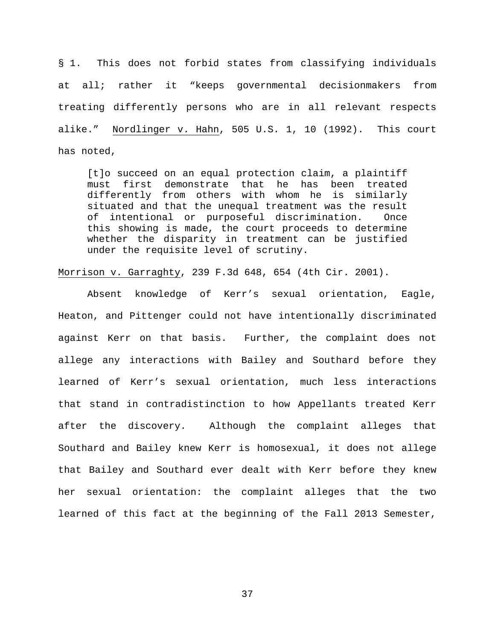§ 1. This does not forbid states from classifying individuals at all; rather it "keeps governmental decisionmakers from treating differently persons who are in all relevant respects alike." Nordlinger v. Hahn, 505 U.S. 1, 10 (1992). This court has noted,

[t]o succeed on an equal protection claim, a plaintiff must first demonstrate that he has been treated differently from others with whom he is similarly situated and that the unequal treatment was the result of intentional or purposeful discrimination. Once this showing is made, the court proceeds to determine whether the disparity in treatment can be justified under the requisite level of scrutiny.

Morrison v. Garraghty, 239 F.3d 648, 654 (4th Cir. 2001).

Absent knowledge of Kerr's sexual orientation, Eagle, Heaton, and Pittenger could not have intentionally discriminated against Kerr on that basis. Further, the complaint does not allege any interactions with Bailey and Southard before they learned of Kerr's sexual orientation, much less interactions that stand in contradistinction to how Appellants treated Kerr after the discovery. Although the complaint alleges that Southard and Bailey knew Kerr is homosexual, it does not allege that Bailey and Southard ever dealt with Kerr before they knew her sexual orientation: the complaint alleges that the two learned of this fact at the beginning of the Fall 2013 Semester,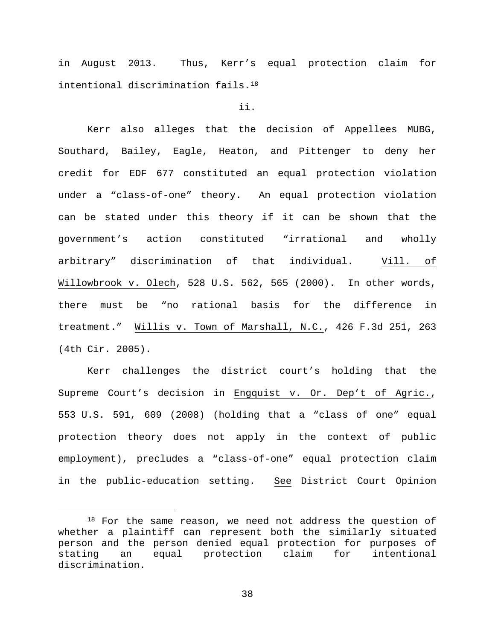in August 2013. Thus, Kerr's equal protection claim for intentional discrimination fails.[18](#page-37-0)

# ii.

Kerr also alleges that the decision of Appellees MUBG, Southard, Bailey, Eagle, Heaton, and Pittenger to deny her credit for EDF 677 constituted an equal protection violation under a "class-of-one" theory. An equal protection violation can be stated under this theory if it can be shown that the government's action constituted "irrational and wholly arbitrary" discrimination of that individual. Vill. of Willowbrook v. Olech, 528 U.S. 562, 565 (2000). In other words, there must be "no rational basis for the difference in treatment." Willis v. Town of Marshall, N.C., 426 F.3d 251, 263 (4th Cir. 2005).

Kerr challenges the district court's holding that the Supreme Court's decision in Engquist v. Or. Dep't of Agric., 553 U.S. 591, 609 (2008) (holding that a "class of one" equal protection theory does not apply in the context of public employment), precludes a "class-of-one" equal protection claim in the public-education setting. See District Court Opinion

<span id="page-37-0"></span><sup>18</sup> For the same reason, we need not address the question of whether a plaintiff can represent both the similarly situated person and the person denied equal protection for purposes of stating an equal protection claim for intentional discrimination.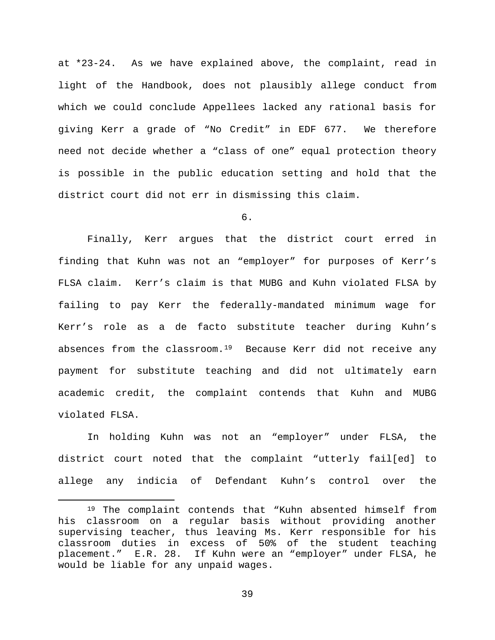at \*23-24. As we have explained above, the complaint, read in light of the Handbook, does not plausibly allege conduct from which we could conclude Appellees lacked any rational basis for giving Kerr a grade of "No Credit" in EDF 677. We therefore need not decide whether a "class of one" equal protection theory is possible in the public education setting and hold that the district court did not err in dismissing this claim.

6.

Finally, Kerr argues that the district court erred in finding that Kuhn was not an "employer" for purposes of Kerr's FLSA claim. Kerr's claim is that MUBG and Kuhn violated FLSA by failing to pay Kerr the federally-mandated minimum wage for Kerr's role as a de facto substitute teacher during Kuhn's absences from the classroom.<sup>[19](#page-38-0)</sup> Because Kerr did not receive any payment for substitute teaching and did not ultimately earn academic credit, the complaint contends that Kuhn and MUBG violated FLSA.

In holding Kuhn was not an "employer" under FLSA, the district court noted that the complaint "utterly fail[ed] to allege any indicia of Defendant Kuhn's control over the

<span id="page-38-0"></span> <sup>19</sup> The complaint contends that "Kuhn absented himself from his classroom on a regular basis without providing another supervising teacher, thus leaving Ms. Kerr responsible for his classroom duties in excess of 50% of the student teaching<br>placement." E.R. 28. If Kuhn were an "employer" under FLSA, he placement." E.R. 28. If Kuhn were an "employer" under FLSA, he would be liable for any unpaid wages.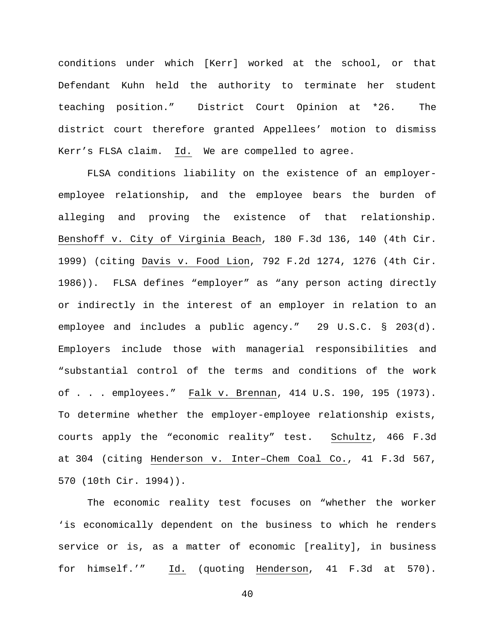conditions under which [Kerr] worked at the school, or that Defendant Kuhn held the authority to terminate her student teaching position." District Court Opinion at \*26. The district court therefore granted Appellees' motion to dismiss Kerr's FLSA claim. Id. We are compelled to agree.

FLSA conditions liability on the existence of an employeremployee relationship, and the employee bears the burden of alleging and proving the existence of that relationship. Benshoff v. City of Virginia Beach, 180 F.3d 136, 140 (4th Cir. 1999) (citing Davis v. Food Lion, 792 F.2d 1274, 1276 (4th Cir. 1986)). FLSA defines "employer" as "any person acting directly or indirectly in the interest of an employer in relation to an employee and includes a public agency." 29 U.S.C. § 203(d). Employers include those with managerial responsibilities and "substantial control of the terms and conditions of the work of . . . employees." Falk v. Brennan, 414 U.S. 190, 195 (1973). To determine whether the employer-employee relationship exists, courts apply the "economic reality" test. Schultz, 466 F.3d at 304 (citing Henderson v. Inter–Chem Coal Co., 41 F.3d 567, 570 (10th Cir. 1994)).

The economic reality test focuses on "whether the worker 'is economically dependent on the business to which he renders service or is, as a matter of economic [reality], in business for himself.'" Id. (quoting Henderson, 41 F.3d at 570).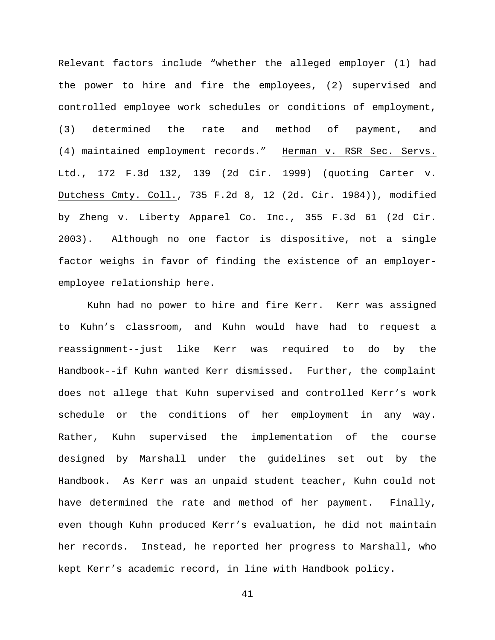Relevant factors include "whether the alleged employer (1) had the power to hire and fire the employees, (2) supervised and controlled employee work schedules or conditions of employment, (3) determined the rate and method of payment, and (4) maintained employment records." Herman v. RSR Sec. Servs. Ltd., 172 F.3d 132, 139 (2d Cir. 1999) (quoting Carter v. Dutchess Cmty. Coll., 735 F.2d 8, 12 (2d. Cir. 1984)), modified by Zheng v. Liberty Apparel Co. Inc., 355 F.3d 61 (2d Cir. 2003). Although no one factor is dispositive, not a single factor weighs in favor of finding the existence of an employeremployee relationship here.

Kuhn had no power to hire and fire Kerr. Kerr was assigned to Kuhn's classroom, and Kuhn would have had to request a reassignment--just like Kerr was required to do by the Handbook--if Kuhn wanted Kerr dismissed. Further, the complaint does not allege that Kuhn supervised and controlled Kerr's work schedule or the conditions of her employment in any way. Rather, Kuhn supervised the implementation of the course designed by Marshall under the guidelines set out by the Handbook. As Kerr was an unpaid student teacher, Kuhn could not have determined the rate and method of her payment. Finally, even though Kuhn produced Kerr's evaluation, he did not maintain her records. Instead, he reported her progress to Marshall, who kept Kerr's academic record, in line with Handbook policy.